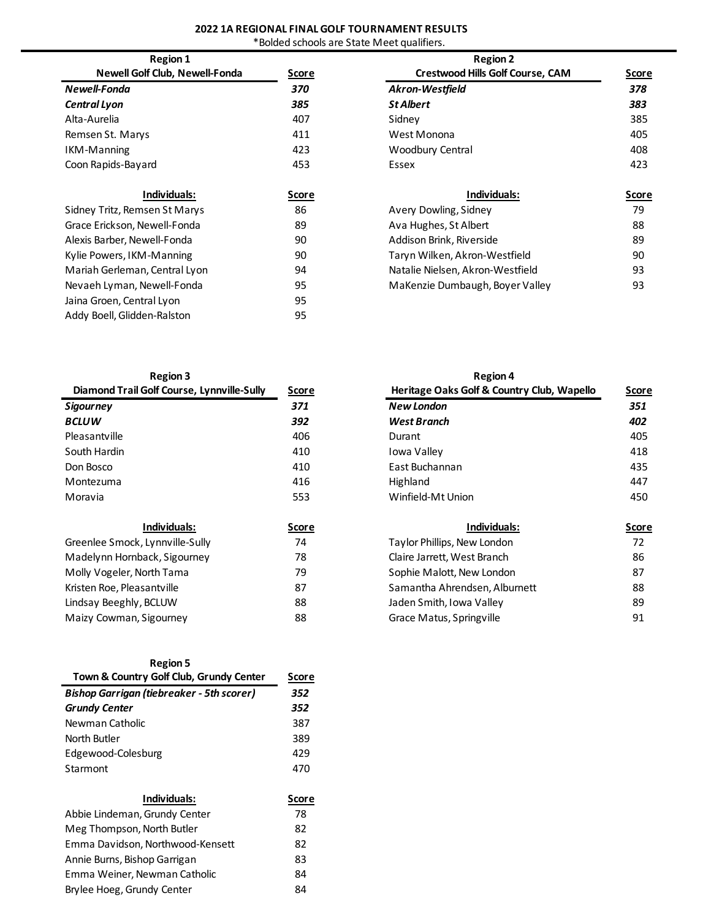# **2022 1A REGIONAL FINAL GOLF TOURNAMENT RESULTS**

\*Bolded schools are State Meet qualifiers.

| <b>Region 1</b>                       |              | <b>Region 2</b>               |
|---------------------------------------|--------------|-------------------------------|
| <b>Newell Golf Club, Newell-Fonda</b> | <u>Score</u> | <b>Crestwood Hills Golf C</b> |
| Newell-Fonda                          | 370          | <b>Akron-Westfield</b>        |
| <b>Central Lyon</b>                   | 385          | <b>St Albert</b>              |
| Alta-Aurelia                          | 407          | Sidney                        |
| Remsen St. Marys                      | 411          | West Monona                   |
| IKM-Manning                           | 423          | Woodbury Central              |
| Coon Rapids-Bayard                    | 453          | Essex                         |
|                                       |              |                               |
| Individuals:                          | Score        | Individuals                   |
| Sidney Tritz, Remsen St Marys         | 86           | Avery Dowling, Sidney         |
| Grace Erickson, Newell-Fonda          | 89           | Ava Hughes, St Albert         |
| Alexis Barber, Newell-Fonda           | 90           | Addison Brink, Riverside      |
| Kylie Powers, IKM-Manning             | 90           | Taryn Wilken, Akron-Westf     |
| Mariah Gerleman, Central Lyon         | 94           | Natalie Nielsen, Akron-Wes    |
| Nevaeh Lyman, Newell-Fonda            | 95           | MaKenzie Dumbaugh, Boye       |
| Jaina Groen, Central Lyon             | 95           |                               |
| Addy Boell, Glidden-Ralston           | 95           |                               |
|                                       |              |                               |

| <b>Region 1</b>                |              | <b>Region 2</b>                         |              |
|--------------------------------|--------------|-----------------------------------------|--------------|
| Newell Golf Club, Newell-Fonda | <b>Score</b> | <b>Crestwood Hills Golf Course, CAM</b> | Score        |
| Newell-Fonda                   | 370          | <b>Akron-Westfield</b>                  | 378          |
| Central Lyon                   | 385          | <b>St Albert</b>                        | 383          |
| Alta-Aurelia                   | 407          | Sidney                                  | 385          |
| Remsen St. Marys               | 411          | West Monona                             | 405          |
| <b>IKM-Manning</b>             | 423          | Woodbury Central                        | 408          |
| Coon Rapids-Bayard             | 453          | Essex                                   | 423          |
| Individuals:                   | <b>Score</b> | Individuals:                            | <b>Score</b> |
| Sidney Tritz, Remsen St Marys  | 86           | Avery Dowling, Sidney                   | 79           |
| Grace Erickson, Newell-Fonda   | 89           | Ava Hughes, St Albert                   | 88           |
| Alexis Barber, Newell-Fonda    | 90           | Addison Brink, Riverside                | 89           |
| Kylie Powers, IKM-Manning      | 90           | Taryn Wilken, Akron-Westfield           | 90           |
| Mariah Gerleman, Central Lyon  | 94           | Natalie Nielsen, Akron-Westfield        | 93           |
| Nevaeh Lyman, Newell-Fonda     | 95           | MaKenzie Dumbaugh, Boyer Valley         | 93           |
|                                |              |                                         |              |

| <b>Region 3</b>                            |              | <b>Region 4</b>                      |
|--------------------------------------------|--------------|--------------------------------------|
| Diamond Trail Golf Course, Lynnville-Sully | <u>Score</u> | <b>Heritage Oaks Golf &amp; Coun</b> |
| Sigourney                                  | 371          | <b>New London</b>                    |
| <b>BCLUW</b>                               | 392          | West Branch                          |
| Pleasantville                              | 406          | Durant                               |
| South Hardin                               | 410          | Iowa Valley                          |
| Don Bosco                                  | 410          | East Buchannan                       |
| Montezuma                                  | 416          | Highland                             |
| Moravia                                    | 553          | Winfield-Mt Union                    |
| Individuals:                               | <u>Score</u> | Individuals                          |
| Greenlee Smock, Lynnville-Sully            | 74           | Taylor Phillips, New London          |
| Madelynn Hornback, Sigourney               | 78           | Claire Jarrett, West Branch          |
| Molly Vogeler, North Tama                  | 79           | Sophie Malott, New London            |
| Kristen Roe, Pleasantville                 | 87           | Samantha Ahrendsen, Albu             |
| Lindsay Beeghly, BCLUW                     | 88           | Jaden Smith, Iowa Valley             |
| Maizy Cowman, Sigourney                    | 88           | Grace Matus, Springville             |
|                                            |              |                                      |

| Region |  |
|--------|--|
|--------|--|

| <b>Region 5</b>                                  |       |
|--------------------------------------------------|-------|
| Town & Country Golf Club, Grundy Center          | Score |
| <b>Bishop Garrigan (tiebreaker - 5th scorer)</b> | 352   |
| <b>Grundy Center</b>                             | 352   |
| Newman Catholic                                  | 387   |
| North Butler                                     | 389   |
| Edgewood-Colesburg                               | 429   |
| Starmont                                         | 470   |
|                                                  |       |
| Individuals:                                     | Score |
| Abbie Lindeman, Grundy Center                    | 78    |
| Meg Thompson, North Butler                       | 82    |
| Emma Davidson, Northwood-Kensett                 | 82    |
| Annie Burns, Bishop Garrigan                     | 83    |
| Emma Weiner, Newman Catholic                     | 84    |
| Brylee Hoeg, Grundy Center                       | 84    |
|                                                  |       |

| <b>INGRIOUTS</b>                           |       | 115510117                                  |              |
|--------------------------------------------|-------|--------------------------------------------|--------------|
| Diamond Trail Golf Course, Lynnville-Sully | Score | Heritage Oaks Golf & Country Club, Wapello | <b>Score</b> |
| Sigourney                                  | 371   | <b>New London</b>                          | 351          |
| BCLUW                                      | 392   | <b>West Branch</b>                         | 402          |
| Pleasantville                              | 406   | Durant                                     | 405          |
| South Hardin                               | 410   | Iowa Valley                                | 418          |
| Don Bosco                                  | 410   | East Buchannan                             | 435          |
| Montezuma                                  | 416   | Highland                                   | 447          |
| Moravia                                    | 553   | Winfield-Mt Union                          | 450          |
| Individuals:                               | Score | Individuals:                               | <b>Score</b> |
| Greenlee Smock, Lynnville-Sully            | 74    | Taylor Phillips, New London                | 72           |
| Madelynn Hornback, Sigourney               | 78    | Claire Jarrett, West Branch                | 86           |
| Molly Vogeler, North Tama                  | 79    | Sophie Malott, New London                  | 87           |
| Kristen Roe, Pleasantville                 | 87    | Samantha Ahrendsen, Alburnett              | 88           |
| Lindsay Beeghly, BCLUW                     | 88    | Jaden Smith, Iowa Valley                   | 89           |
| Maizy Cowman, Sigourney                    | 88    | Grace Matus, Springville                   | 91           |
|                                            |       |                                            |              |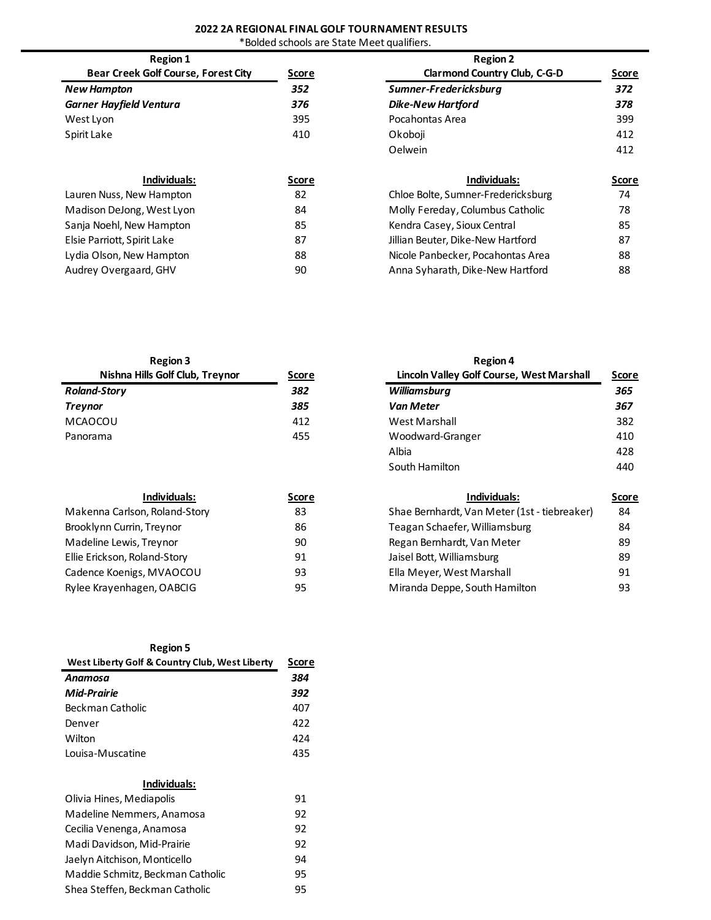#### **2022 2A REGIONAL FINAL GOLF TOURNAMENT RESULTS**

\*Bolded schools are State Meet qualifiers.

| <b>Region 1</b>                            |              | <b>Region 2</b>                     |              |
|--------------------------------------------|--------------|-------------------------------------|--------------|
| <b>Bear Creek Golf Course, Forest City</b> | <u>Score</u> | <b>Clarmond Country Club, C-G-D</b> | <b>Score</b> |
| <b>New Hampton</b>                         | 352          | Sumner-Fredericksburg               | 372          |
| <b>Garner Hayfield Ventura</b>             | 376          | <b>Dike-New Hartford</b>            | 378          |
| West Lyon                                  | 395          | Pocahontas Area                     | 399          |
| Spirit Lake                                | 410          | Okoboji                             | 412          |
|                                            |              | Oelwein                             | 412          |
| Individuals:                               | <b>Score</b> | Individuals:                        | <b>Score</b> |
| Lauren Nuss, New Hampton                   | 82           | Chloe Bolte, Sumner-Fredericksburg  | 74           |
| Madison DeJong, West Lyon                  | 84           | Molly Fereday, Columbus Catholic    | 78           |
| Sanja Noehl, New Hampton                   | 85           | Kendra Casey, Sioux Central         | 85           |
| Elsie Parriott, Spirit Lake                | 87           | Jillian Beuter, Dike-New Hartford   | 87           |
| Lydia Olson, New Hampton                   | 88           | Nicole Panbecker, Pocahontas Area   | 88           |
| Audrey Overgaard, GHV                      | 90           | Anna Syharath, Dike-New Hartford    | 88           |

| <b>Region 3</b>                 |              | <b>Region 4</b>                           |      |
|---------------------------------|--------------|-------------------------------------------|------|
| Nishna Hills Golf Club, Treynor | <u>Score</u> | Lincoln Valley Golf Course, West Marshall | Scor |
| <b>Roland-Story</b>             | 382          | Williamsburg                              | 365  |
| <b>Treynor</b>                  | 385          | <b>Van Meter</b>                          | 367  |
| MCAOCOU                         | 412          | West Marshall                             | 382  |
| Panorama                        | 455          | Woodward-Granger                          | 410  |

| Individuals:                  | Score | Individuals:                                 | Sco |
|-------------------------------|-------|----------------------------------------------|-----|
| Makenna Carlson, Roland-Story | 83    | Shae Bernhardt, Van Meter (1st - tiebreaker) | 84  |
| Brooklynn Currin, Treynor     | 86    | Teagan Schaefer, Williamsburg                | 84  |
| Madeline Lewis, Treynor       | 90    | Regan Bernhardt, Van Meter                   | 89  |
| Ellie Erickson, Roland-Story  | 91    | Jaisel Bott, Williamsburg                    | 89  |
| Cadence Koenigs, MVAOCOU      | 93    | Ella Meyer, West Marshall                    | 91  |
| Rylee Krayenhagen, OABCIG     | 95    | Miranda Deppe, South Hamilton                | 93  |

| Region 5 |  |
|----------|--|
|----------|--|

| West Liberty Golf & Country Club, West Liberty | Score |
|------------------------------------------------|-------|
| Anamosa                                        | 384   |
| Mid-Prairie                                    | 392   |
| Beckman Catholic                               | 407   |
| Denver                                         | 422   |
| Wilton                                         | 424   |
| Louisa-Muscatine                               | 435   |

#### **Individuals:**

| Olivia Hines, Mediapolis         | 91 |
|----------------------------------|----|
| Madeline Nemmers, Anamosa        | 92 |
| Cecilia Venenga, Anamosa         | 92 |
| Madi Davidson, Mid-Prairie       | 92 |
| Jaelyn Aitchison, Monticello     | 94 |
| Maddie Schmitz, Beckman Catholic | 95 |
| Shea Steffen, Beckman Catholic   | 95 |

| <b>Region 3</b>                 |              | <b>Region 4</b>                           |     |  |
|---------------------------------|--------------|-------------------------------------------|-----|--|
| Nishna Hills Golf Club, Treynor | <u>Score</u> | Lincoln Valley Golf Course, West Marshall |     |  |
| <b>Roland-Story</b>             | 382          | Williamsburg                              | 365 |  |
| <b>Treynor</b>                  | 385          | <b>Van Meter</b>                          | 367 |  |
| MCAOCOU                         | 412          | West Marshall                             | 382 |  |
| Panorama                        | 455          | Woodward-Granger                          | 410 |  |
|                                 |              | Albia                                     | 428 |  |
|                                 |              | South Hamilton                            | 440 |  |
|                                 |              |                                           |     |  |

| Individuals:                  | Score | Individuals:                                 |     |
|-------------------------------|-------|----------------------------------------------|-----|
| Makenna Carlson, Roland-Story | 83    | Shae Bernhardt, Van Meter (1st - tiebreaker) | -84 |
| Brooklynn Currin, Treynor     | 86    | Teagan Schaefer, Williamsburg                | 84  |
| Madeline Lewis, Treynor       | 90    | Regan Bernhardt, Van Meter                   | 89  |
| Ellie Erickson, Roland-Story  | 91    | Jaisel Bott, Williamsburg                    | 89  |
| Cadence Koenigs, MVAOCOU      | 93    | Ella Meyer, West Marshall                    | 91  |
| Rylee Krayenhagen, OABCIG     | 95    | Miranda Deppe, South Hamilton                | 93  |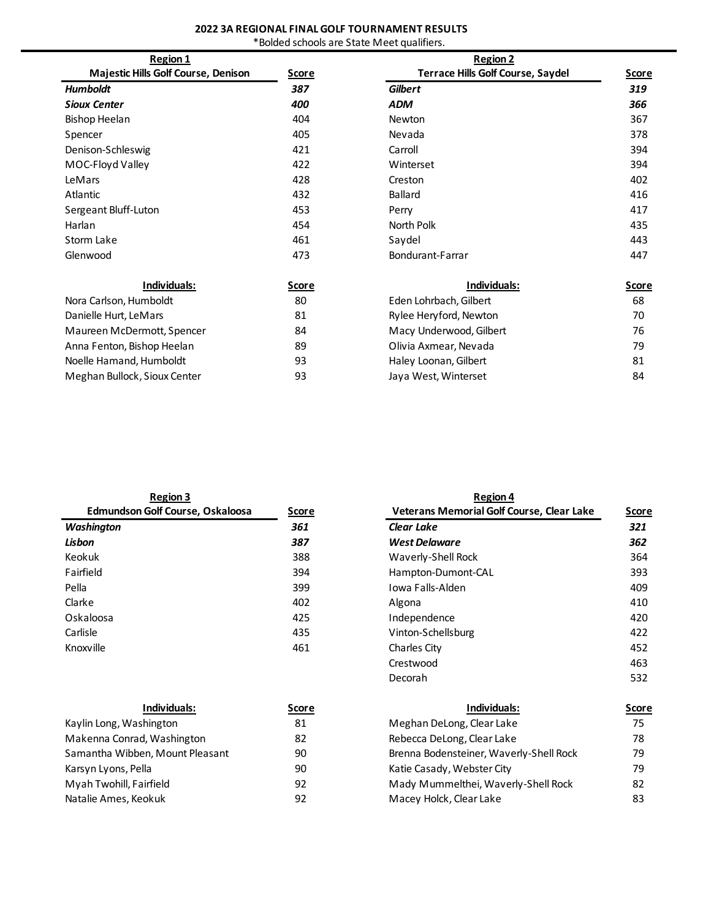# **2022 3A REGIONAL FINAL GOLF TOURNAMENT RESULTS**

| *Bolded schools are State Meet qualifiers. |  |  |
|--------------------------------------------|--|--|
|--------------------------------------------|--|--|

| <b>Region 1</b>                     |       | <b>Region 2</b>               |
|-------------------------------------|-------|-------------------------------|
| Majestic Hills Golf Course, Denison | Score | <b>Terrace Hills Golf Cou</b> |
| <b>Humboldt</b>                     | 387   | <b>Gilbert</b>                |
| <b>Sioux Center</b>                 | 400   | ADM                           |
| Bishop Heelan                       | 404   | <b>Newton</b>                 |
| Spencer                             | 405   | Nevada                        |
| Denison-Schleswig                   | 421   | Carroll                       |
| MOC-Floyd Valley                    | 422   | Winterset                     |
| LeMars                              | 428   | Creston                       |
| Atlantic                            | 432   | Ballard                       |
| Sergeant Bluff-Luton                | 453   | Perry                         |
| Harlan                              | 454   | North Polk                    |
| Storm Lake                          | 461   | Saydel                        |
| Glenwood                            | 473   | Bondurant-Farrar              |
|                                     |       |                               |

| Individuals:                 | Score |
|------------------------------|-------|
| Nora Carlson, Humboldt       | 80    |
| Danielle Hurt, LeMars        | 81    |
| Maureen McDermott, Spencer   | 84    |
| Anna Fenton, Bishop Heelan   | 89    |
| Noelle Hamand, Humboldt      | 93    |
| Meghan Bullock, Sioux Center | 93    |

| <b>Region 1</b>                     |              | <b>Region 2</b>                          |              |  |
|-------------------------------------|--------------|------------------------------------------|--------------|--|
| Majestic Hills Golf Course, Denison | <b>Score</b> | <b>Terrace Hills Golf Course, Saydel</b> | <b>Score</b> |  |
| Humboldt                            | 387          | <b>Gilbert</b>                           | 319          |  |
| Sioux Center                        | 400          | <b>ADM</b>                               | 366          |  |
| <b>Bishop Heelan</b>                | 404          | <b>Newton</b>                            | 367          |  |
| Spencer                             | 405          | Nevada                                   | 378          |  |
| Denison-Schleswig                   | 421          | Carroll                                  | 394          |  |
| MOC-Floyd Valley                    | 422          | Winterset                                | 394          |  |
| LeMars                              | 428          | Creston                                  | 402          |  |
| Atlantic                            | 432          | Ballard                                  | 416          |  |
| Sergeant Bluff-Luton                | 453          | Perry                                    | 417          |  |
| Harlan                              | 454          | North Polk                               | 435          |  |
| Storm Lake                          | 461          | Saydel                                   | 443          |  |
| Glenwood                            | 473          | Bondurant-Farrar                         | 447          |  |
|                                     |              |                                          |              |  |

| Individuals:                 | <u>Score</u> | Individuals:            | <u>Score</u> |  |
|------------------------------|--------------|-------------------------|--------------|--|
| Nora Carlson, Humboldt       | 80           | Eden Lohrbach, Gilbert  | 68           |  |
| Danielle Hurt, LeMars        | 81           | Rylee Heryford, Newton  | 70           |  |
| Maureen McDermott, Spencer   | 84           | Macy Underwood, Gilbert | 76           |  |
| Anna Fenton, Bishop Heelan   | 89           | Olivia Axmear, Nevada   | 79           |  |
| Noelle Hamand, Humboldt      | 93           | Haley Loonan, Gilbert   | 81           |  |
| Meghan Bullock, Sioux Center | 93           | Jaya West, Winterset    | 84           |  |
|                              |              |                         |              |  |

| <b>Region 3</b>                  |              | <b>Region 4</b>                                  |              |  |
|----------------------------------|--------------|--------------------------------------------------|--------------|--|
| Edmundson Golf Course, Oskaloosa | <b>Score</b> | <b>Veterans Memorial Golf Course, Clear Lake</b> | <b>Score</b> |  |
| <b>Washington</b>                | 361          | <b>Clear Lake</b>                                | 321          |  |
| Lisbon                           | 387          | <b>West Delaware</b>                             | 362          |  |
| Keokuk                           | 388          | Waverly-Shell Rock                               | 364          |  |
| Fairfield                        | 394          | Hampton-Dumont-CAL                               | 393          |  |
| Pella                            | 399          | Jowa Falls-Alden                                 | 409          |  |
| Clarke                           | 402          | Algona                                           | 410          |  |
| Oskaloosa                        | 425          | Independence                                     | 420          |  |
| Carlisle                         | 435          | Vinton-Schellsburg                               | 422          |  |
| Knoxville                        | 461          | Charles City                                     | 452          |  |
|                                  |              | Crestwood                                        | 463          |  |
|                                  |              | Decorah                                          | 532          |  |

| <u>Score</u> | Individuals:                            | Score |  |
|--------------|-----------------------------------------|-------|--|
| 81           | Meghan DeLong, Clear Lake               | 75    |  |
| 82           | Rebecca DeLong, Clear Lake              | 78    |  |
| 90           | Brenna Bodensteiner, Waverly-Shell Rock | 79    |  |
| 90           | Katie Casady, Webster City              | 79    |  |
| 92           | Mady Mummelthei, Waverly-Shell Rock     | 82    |  |
| 92           | Macey Holck, Clear Lake                 | 83    |  |
|              |                                         |       |  |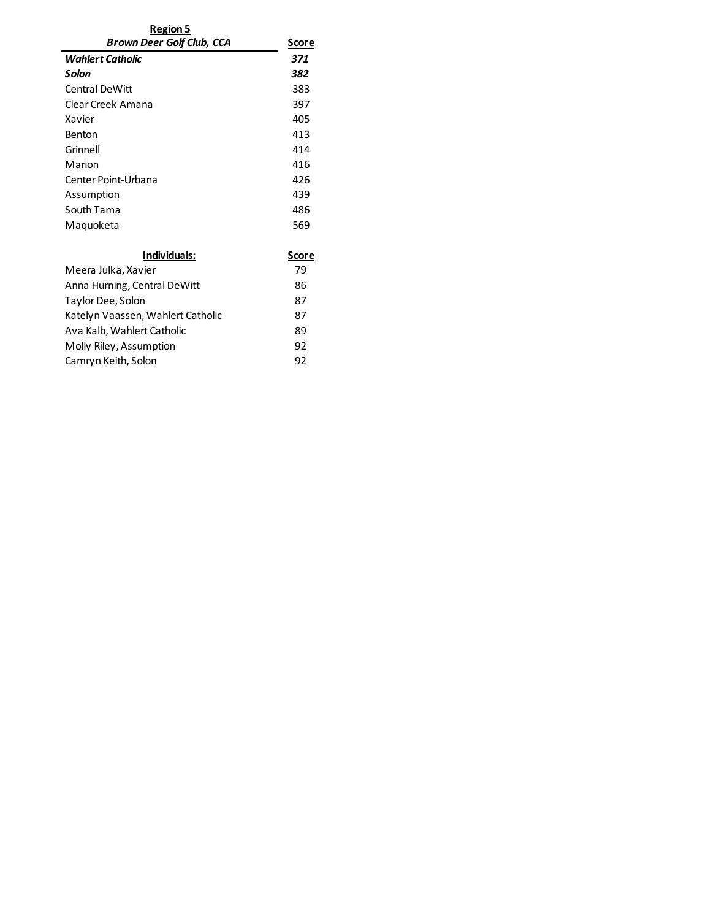| Region 5                  |       |
|---------------------------|-------|
| Brown Deer Golf Club, CCA | Score |
| Wahlert Catholic          | 371   |
| Solon                     | 382   |
| Central DeWitt            | 383   |
| Clear Creek Amana         | 397   |
| Xavier                    | 405   |
| <b>Benton</b>             | 413   |
| Grinnell                  | 414   |
| Marion                    | 416   |
| Center Point-Urbana       | 426   |
| Assumption                | 439   |
| South Tama                | 486   |
| Maguoketa                 | 569   |
|                           |       |

| Individuals:                      | Score |
|-----------------------------------|-------|
| Meera Julka, Xavier               | 79    |
| Anna Hurning, Central DeWitt      | 86    |
| Taylor Dee, Solon                 | 87    |
| Katelyn Vaassen, Wahlert Catholic | 87    |
| Ava Kalb, Wahlert Catholic        | 89    |
| Molly Riley, Assumption           | 92    |
| Camryn Keith, Solon               | 92    |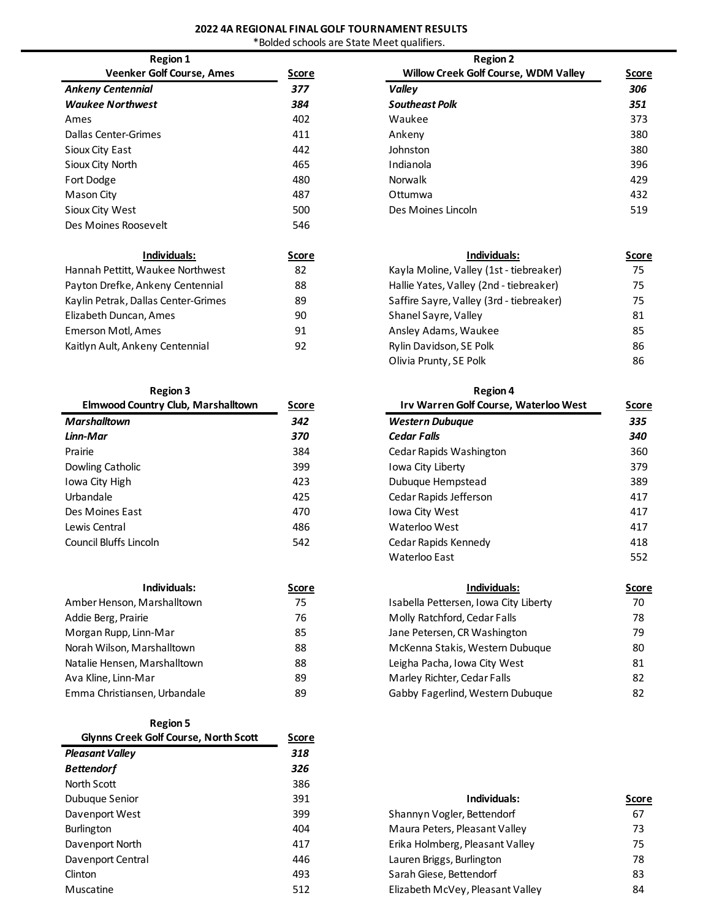# **2022 4A REGIONAL FINAL GOLF TOURNAMENT RESULTS**

|  |  |  |  |  | *Bolded schools are State Meet qualifiers. |
|--|--|--|--|--|--------------------------------------------|
|--|--|--|--|--|--------------------------------------------|

| <b>Region 1</b>                  |       | <b>Region 2</b>                |
|----------------------------------|-------|--------------------------------|
| <b>Veenker Golf Course, Ames</b> | Score | <b>Willow Creek Golf Cours</b> |
| <b>Ankeny Centennial</b>         | 377   | Valley                         |
| <b>Waukee Northwest</b>          | 384   | <b>Southeast Polk</b>          |
| Ames                             | 402   | Waukee                         |
| Dallas Center-Grimes             | 411   | Ankeny                         |
| Sioux City East                  | 442   | Johnston                       |
| Sioux City North                 | 465   | Indianola                      |
| Fort Dodge                       | 480   | Norwalk                        |
| Mason City                       | 487   | Ottumwa                        |
| Sioux City West                  | 500   | Des Moines Lincoln             |
| Des Moines Roosevelt             | 546   |                                |

| Individuals:                        | <b>Score</b> |
|-------------------------------------|--------------|
| Hannah Pettitt, Waukee Northwest    | 82           |
| Payton Drefke, Ankeny Centennial    | 88           |
| Kaylin Petrak, Dallas Center-Grimes | 89           |
| Elizabeth Duncan, Ames              | 90           |
| Emerson Motl, Ames                  | 91           |
| Kaitlyn Ault, Ankeny Centennial     | 92           |
|                                     |              |

### **Region 3 Region 4**

| <b>Elmwood Country Club, Marshalltown</b> | Score |
|-------------------------------------------|-------|
| Marshalltown                              | 342   |
| Linn-Mar                                  | 370   |
| Prairie                                   | 384   |
| Dowling Catholic                          | 399   |
| Iowa City High                            | 423   |
| Urbandale                                 | 425   |
| Des Moines Fast                           | 470   |
| Lewis Central                             | 486   |
| Council Bluffs Lincoln                    | 542   |

| Individuals:                 | Score |
|------------------------------|-------|
| Amber Henson, Marshalltown   | 75    |
| Addie Berg, Prairie          | 76    |
| Morgan Rupp, Linn-Mar        | 85    |
| Norah Wilson, Marshalltown   | 88    |
| Natalie Hensen, Marshalltown | 88    |
| Ava Kline, Linn-Mar          | 89    |
| Emma Christiansen, Urbandale | 89    |

**Region 5**

| <b>Glynns Creek Golf Course, North Scott</b> | <b>Score</b> |                                  |     |
|----------------------------------------------|--------------|----------------------------------|-----|
| <b>Pleasant Valley</b>                       | 318          |                                  |     |
| <b>Bettendorf</b>                            | 326          |                                  |     |
| North Scott                                  | 386          |                                  |     |
| Dubuque Senior                               | 391          | Individuals:                     | Sco |
| Davenport West                               | 399          | Shannyn Vogler, Bettendorf       | 67  |
| <b>Burlington</b>                            | 404          | Maura Peters, Pleasant Valley    | 73  |
| Davenport North                              | 417          | Erika Holmberg, Pleasant Valley  | 75  |
| Davenport Central                            | 446          | Lauren Briggs, Burlington        | 78  |
| Clinton                                      | 493          | Sarah Giese, Bettendorf          | 83  |
| Muscatine                                    | 512          | Elizabeth McVey, Pleasant Valley | 84  |

| <b>Region 1</b>                  |       | <b>Region 2</b>                             |       |  |
|----------------------------------|-------|---------------------------------------------|-------|--|
| <b>Veenker Golf Course, Ames</b> | Score | <b>Willow Creek Golf Course, WDM Valley</b> | Score |  |
| Ankeny Centennial                | 377   | Valley                                      | 306   |  |
| <b>Waukee Northwest</b>          | 384   | <b>Southeast Polk</b>                       | 351   |  |
| Ames                             | 402   | Waukee                                      | 373   |  |
| <b>Dallas Center-Grimes</b>      | 411   | Ankeny                                      | 380   |  |
| Sioux City East                  | 442   | Johnston                                    | 380   |  |
| Sioux City North                 | 465   | Indianola                                   | 396   |  |
| Fort Dodge                       | 480   | Norwalk                                     | 429   |  |
| Mason City                       | 487   | Ottumwa                                     | 432   |  |
| Sioux City West                  | 500   | Des Moines Lincoln                          | 519   |  |

| Individuals:                        | Score | Individuals:                             | Score |
|-------------------------------------|-------|------------------------------------------|-------|
| Hannah Pettitt, Waukee Northwest    | 82    | Kayla Moline, Valley (1st - tiebreaker)  | 75    |
| Payton Drefke, Ankeny Centennial    | 88    | Hallie Yates, Valley (2nd - tiebreaker)  | 75    |
| Kaylin Petrak, Dallas Center-Grimes | 89    | Saffire Sayre, Valley (3rd - tiebreaker) | 75    |
| Elizabeth Duncan, Ames              | 90    | Shanel Sayre, Valley                     | 81    |
| Emerson Motl, Ames                  | 91    | Ansley Adams, Waukee                     | 85    |
| Kaitlyn Ault, Ankeny Centennial     | 92    | Rylin Davidson, SE Polk                  | 86    |
|                                     |       | Olivia Prunty, SE Polk                   | 86    |

| <b>Region 3</b>                           |              | <b>Region 4</b>                       |       |
|-------------------------------------------|--------------|---------------------------------------|-------|
| <b>Elmwood Country Club, Marshalltown</b> | <u>Score</u> | Irv Warren Golf Course, Waterloo West | Score |
| Marshalltown                              | 342          | <b>Western Dubuque</b>                | 335   |
| Linn-Mar                                  | 370          | <b>Cedar Falls</b>                    | 340   |
| Prairie                                   | 384          | Cedar Rapids Washington               | 360   |
| Dowling Catholic                          | 399          | Iowa City Liberty                     | 379   |
| Iowa City High                            | 423          | Dubuque Hempstead                     | 389   |
| Urbandale                                 | 425          | Cedar Rapids Jefferson                | 417   |
| Des Moines East                           | 470          | Iowa City West                        | 417   |
| Lewis Central                             | 486          | Waterloo West                         | 417   |
| Council Bluffs Lincoln                    | 542          | Cedar Rapids Kennedy                  | 418   |
|                                           |              | Waterloo East                         | 552   |
| Individuals:                              | <b>Score</b> | Individuals:                          | Score |
| Amber Henson, Marshalltown                | 75           | Isabella Pettersen, Iowa City Liberty | 70    |
| Addie Berg, Prairie                       | 76           | Molly Ratchford, Cedar Falls          | 78    |
| Morgan Rupp, Linn-Mar                     | 85           | Jane Petersen, CR Washington          | 79    |
| Norah Wilson, Marshalltown                | 88           | McKenna Stakis, Western Dubuque       | 80    |
| Natalie Hensen, Marshalltown              | 88           | Leigha Pacha, Iowa City West          | 81    |
|                                           |              |                                       |       |

Marley Richter, Cedar Falls 82 Gabby Fagerlind, Western Dubuque 82

| Dubuque Senior    | 391 | Individuals:                     | <b>Score</b> |
|-------------------|-----|----------------------------------|--------------|
| Davenport West    | 399 | Shannyn Vogler, Bettendorf       | 67           |
| <b>Burlington</b> | 404 | Maura Peters, Pleasant Valley    | 73           |
| Davenport North   | 417 | Erika Holmberg, Pleasant Valley  | 75           |
| Davenport Central | 446 | Lauren Briggs, Burlington        | 78           |
| Clinton           | 493 | Sarah Giese, Bettendorf          | 83           |
| Muscatine         | 512 | Elizabeth McVey, Pleasant Valley | 84           |